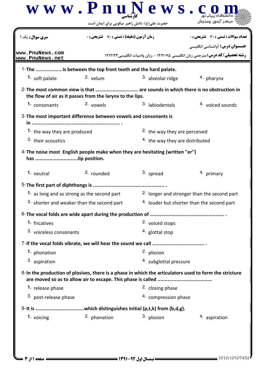| <b>سری سوال :</b> یک ۱             | <b>زمان آزمون (دقیقه) : تستی : 70 ٪ تشریحی: 0</b>                                                                                           |                                            | تعداد سوالات : تستي : 30 ٪ تشريحي : 0                                                 |
|------------------------------------|---------------------------------------------------------------------------------------------------------------------------------------------|--------------------------------------------|---------------------------------------------------------------------------------------|
|                                    |                                                                                                                                             |                                            | <b>عنــوان درس:</b> آواشناسي انگليسي                                                  |
| www.PnuNews.com<br>www.PnuNews.net |                                                                                                                                             |                                            | <b>رشته تحصیلی/کد درس:</b> مترجمی زبان انگلیسی ۱۲۱۲۰۷۵ - ،زبان وادبیات انگلیسی۱۲۱۲۱۲۴ |
|                                    | 1-The  is between the top front teeth and the hard palate.                                                                                  |                                            |                                                                                       |
| 1. soft palate                     | $2.$ velum                                                                                                                                  | 3. alveolar ridge                          | 4. pharynx                                                                            |
|                                    | 2-The most common view is that  are sounds in which there is no obstruction in<br>the flow of air as it passes from the larynx to the lips. |                                            |                                                                                       |
| 1. consonants                      | 2. vowels                                                                                                                                   | 3. labiodentals                            | 4. voiced sounds                                                                      |
|                                    | 3- The most important difference between vowels and consonants is                                                                           |                                            |                                                                                       |
| 1. the way they are produced       |                                                                                                                                             | <sup>2</sup> the way they are perceived    |                                                                                       |
| 3. their acoustics                 |                                                                                                                                             | <sup>4.</sup> the way they are distributed |                                                                                       |
| has lip position.                  |                                                                                                                                             |                                            |                                                                                       |
| 1. neutral                         | 2. rounded                                                                                                                                  | 3. spread                                  | 4. primary                                                                            |
|                                    |                                                                                                                                             |                                            |                                                                                       |
|                                    | 1. as long and as strong as the second part                                                                                                 |                                            | <sup>2.</sup> longer and stronger than the second part                                |
|                                    | 3. shorter and weaker than the second part                                                                                                  |                                            | 4. louder but shorter than the second part                                            |
|                                    |                                                                                                                                             |                                            |                                                                                       |
| 1. fricatives                      |                                                                                                                                             | 2. voiced stops                            |                                                                                       |
| 3. voiceless consonants            |                                                                                                                                             | 4. glottal stop                            |                                                                                       |
|                                    |                                                                                                                                             |                                            |                                                                                       |
| 1. phonation                       |                                                                                                                                             | 2. plosion                                 |                                                                                       |
| 3. aspiration                      |                                                                                                                                             | 4. subglottal pressure                     |                                                                                       |
|                                    | 8-In the production of plosives, there is a phase in which the articulators used to form the stricture                                      |                                            |                                                                                       |
| 1. release phase                   |                                                                                                                                             | 2. closing phase                           |                                                                                       |
| 3. post-release phase              |                                                                                                                                             | 4. compression phase                       |                                                                                       |
|                                    |                                                                                                                                             |                                            |                                                                                       |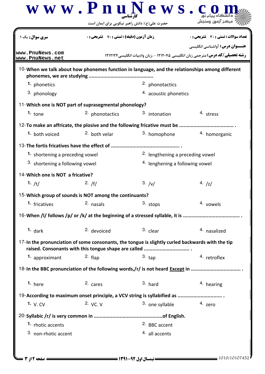|                                            | حضرت علی(ع): دانش راهبر نیکویی برای ایمان است          |                                                                                                                                                          |                                                                                                                                |  |
|--------------------------------------------|--------------------------------------------------------|----------------------------------------------------------------------------------------------------------------------------------------------------------|--------------------------------------------------------------------------------------------------------------------------------|--|
| <b>سری سوال :</b> یک                       | زمان آزمون (دقیقه) : تستی : 70 ٪ تشریحی : 0            |                                                                                                                                                          | تعداد سوالات : تستي : 30 ٪ تشريحي : 0                                                                                          |  |
| www.PnuNews.com<br>www.PnuNews.net         |                                                        |                                                                                                                                                          | <b>عنــوان درس:</b> آواشناسي انگليسي<br><b>رشته تحصیلی/کد درس:</b> مترجمی زبان انگلیسی ۱۲۱۲۰۷۵ - ،زبان وادبیات انگلیسی ۱۲۱۲۱۲۴ |  |
|                                            |                                                        | 10-When we talk about how phonemes function in language, and the relationships among different                                                           |                                                                                                                                |  |
| 1. phonetics                               |                                                        | 2. phonotactics                                                                                                                                          |                                                                                                                                |  |
| 3. phonology                               |                                                        | 4. acoustic phonetics                                                                                                                                    |                                                                                                                                |  |
|                                            | 11-Which one is NOT part of suprasegmental phonology?  |                                                                                                                                                          |                                                                                                                                |  |
| 1. $_{\text{none}}$                        | 2. phonotactics                                        | 3. intonation                                                                                                                                            | 4. stress                                                                                                                      |  |
|                                            |                                                        | 12-To make an affricate, the plosive and the following fricative must be                                                                                 |                                                                                                                                |  |
| 1. both voiced                             | <sup>2</sup> both velar                                | 3. homophone                                                                                                                                             | 4. homorganic                                                                                                                  |  |
|                                            | 13-The fortis fricatives have the effect of            |                                                                                                                                                          |                                                                                                                                |  |
| 1. shortening a preceding vowel            |                                                        | <sup>2.</sup> lengthening a preceding vowel                                                                                                              |                                                                                                                                |  |
| <sup>3.</sup> shortening a following vowel |                                                        | <sup>4.</sup> lenghening a following vowel                                                                                                               |                                                                                                                                |  |
| 14-Which one is NOT a fricative?           |                                                        |                                                                                                                                                          |                                                                                                                                |  |
| 1. $/t/$                                   | 2. $/f/$                                               | 3. /v/                                                                                                                                                   | 4. $ z $                                                                                                                       |  |
|                                            | 15-Which group of sounds is NOT among the continuants? |                                                                                                                                                          |                                                                                                                                |  |
| 1. fricatives                              | 2. nasals                                              | 3. stops                                                                                                                                                 | 4. vowels                                                                                                                      |  |
|                                            |                                                        |                                                                                                                                                          |                                                                                                                                |  |
| $1.$ dark                                  | 2. devoiced                                            | 3. clear                                                                                                                                                 | 4. nasalized                                                                                                                   |  |
|                                            |                                                        | 17-In the pronunciation of some consonants, the tongue is slightly curled backwards with the tip<br>raised. Consonants with this tongue shape are called |                                                                                                                                |  |
| 1. approximant                             | $2.$ flap                                              | $3.$ tap                                                                                                                                                 | 4. retroflex                                                                                                                   |  |
|                                            |                                                        | 18-In the BBC pronunciation of the following words,/r/ is not heard Except in                                                                            |                                                                                                                                |  |
| $1.$ here                                  | 2. cares                                               | $3.$ hard                                                                                                                                                | 4. hearing                                                                                                                     |  |
|                                            |                                                        |                                                                                                                                                          |                                                                                                                                |  |
| 1. $V. CV$                                 | 2. VC. V                                               | 3. one syllable                                                                                                                                          | 4. zero                                                                                                                        |  |
|                                            |                                                        |                                                                                                                                                          |                                                                                                                                |  |
| 1. rhotic accents                          |                                                        | 2. BBC accent                                                                                                                                            |                                                                                                                                |  |
| 3. non-rhotic accent                       |                                                        | 4. all accents                                                                                                                                           |                                                                                                                                |  |